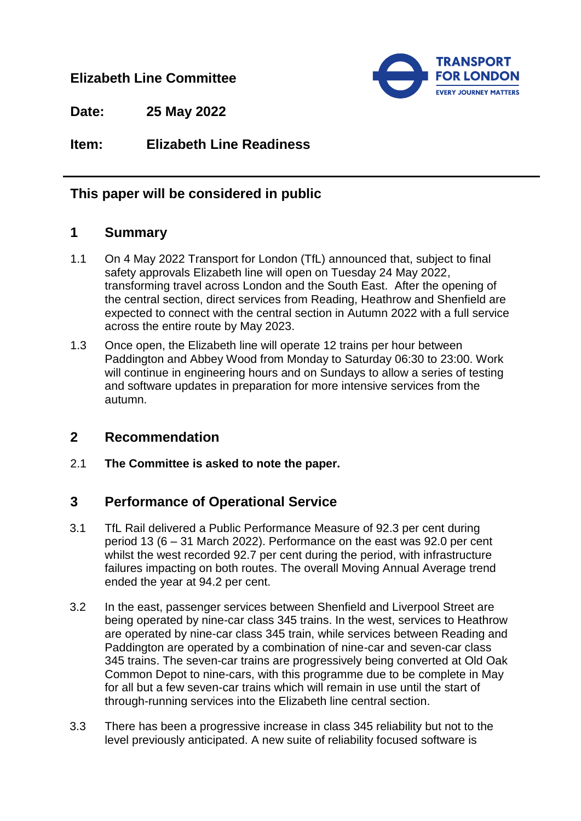### **Elizabeth Line Committee**



**Date: 25 May 2022**

**Item: Elizabeth Line Readiness**

# **This paper will be considered in public**

### **1 Summary**

- 1.1 On 4 May 2022 Transport for London (TfL) announced that, subject to final safety approvals Elizabeth line will open on Tuesday 24 May 2022, transforming travel across London and the South East. After the opening of the central section, direct services from Reading, Heathrow and Shenfield are expected to connect with the central section in Autumn 2022 with a full service across the entire route by May 2023.
- 1.3 Once open, the Elizabeth line will operate 12 trains per hour between Paddington and Abbey Wood from Monday to Saturday 06:30 to 23:00. Work will continue in engineering hours and on Sundays to allow a series of testing and software updates in preparation for more intensive services from the autumn.

## **2 Recommendation**

2.1 **The Committee is asked to note the paper.**

## **3 Performance of Operational Service**

- 3.1 TfL Rail delivered a Public Performance Measure of 92.3 per cent during period 13 (6 – 31 March 2022). Performance on the east was 92.0 per cent whilst the west recorded 92.7 per cent during the period, with infrastructure failures impacting on both routes. The overall Moving Annual Average trend ended the year at 94.2 per cent.
- 3.2 In the east, passenger services between Shenfield and Liverpool Street are being operated by nine-car class 345 trains. In the west, services to Heathrow are operated by nine-car class 345 train, while services between Reading and Paddington are operated by a combination of nine-car and seven-car class 345 trains. The seven-car trains are progressively being converted at Old Oak Common Depot to nine-cars, with this programme due to be complete in May for all but a few seven-car trains which will remain in use until the start of through-running services into the Elizabeth line central section.
- 3.3 There has been a progressive increase in class 345 reliability but not to the level previously anticipated. A new suite of reliability focused software is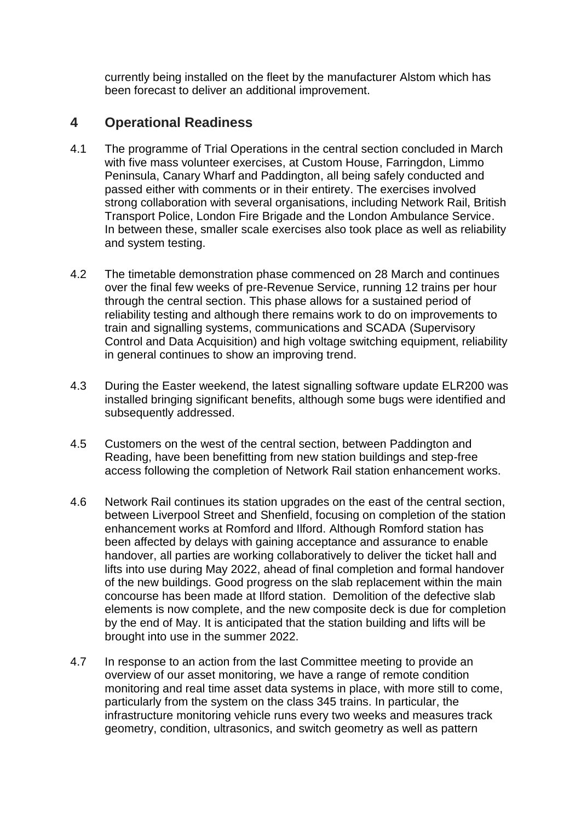currently being installed on the fleet by the manufacturer Alstom which has been forecast to deliver an additional improvement.

### **4 Operational Readiness**

- 4.1 The programme of Trial Operations in the central section concluded in March with five mass volunteer exercises, at Custom House, Farringdon, Limmo Peninsula, Canary Wharf and Paddington, all being safely conducted and passed either with comments or in their entirety. The exercises involved strong collaboration with several organisations, including Network Rail, British Transport Police, London Fire Brigade and the London Ambulance Service. In between these, smaller scale exercises also took place as well as reliability and system testing.
- 4.2 The timetable demonstration phase commenced on 28 March and continues over the final few weeks of pre-Revenue Service, running 12 trains per hour through the central section. This phase allows for a sustained period of reliability testing and although there remains work to do on improvements to train and signalling systems, communications and SCADA (Supervisory Control and Data Acquisition) and high voltage switching equipment, reliability in general continues to show an improving trend.
- 4.3 During the Easter weekend, the latest signalling software update ELR200 was installed bringing significant benefits, although some bugs were identified and subsequently addressed.
- 4.5 Customers on the west of the central section, between Paddington and Reading, have been benefitting from new station buildings and step-free access following the completion of Network Rail station enhancement works.
- 4.6 Network Rail continues its station upgrades on the east of the central section, between Liverpool Street and Shenfield, focusing on completion of the station enhancement works at Romford and Ilford. Although Romford station has been affected by delays with gaining acceptance and assurance to enable handover, all parties are working collaboratively to deliver the ticket hall and lifts into use during May 2022, ahead of final completion and formal handover of the new buildings. Good progress on the slab replacement within the main concourse has been made at Ilford station. Demolition of the defective slab elements is now complete, and the new composite deck is due for completion by the end of May. It is anticipated that the station building and lifts will be brought into use in the summer 2022.
- 4.7 In response to an action from the last Committee meeting to provide an overview of our asset monitoring, we have a range of remote condition monitoring and real time asset data systems in place, with more still to come, particularly from the system on the class 345 trains. In particular, the infrastructure monitoring vehicle runs every two weeks and measures track geometry, condition, ultrasonics, and switch geometry as well as pattern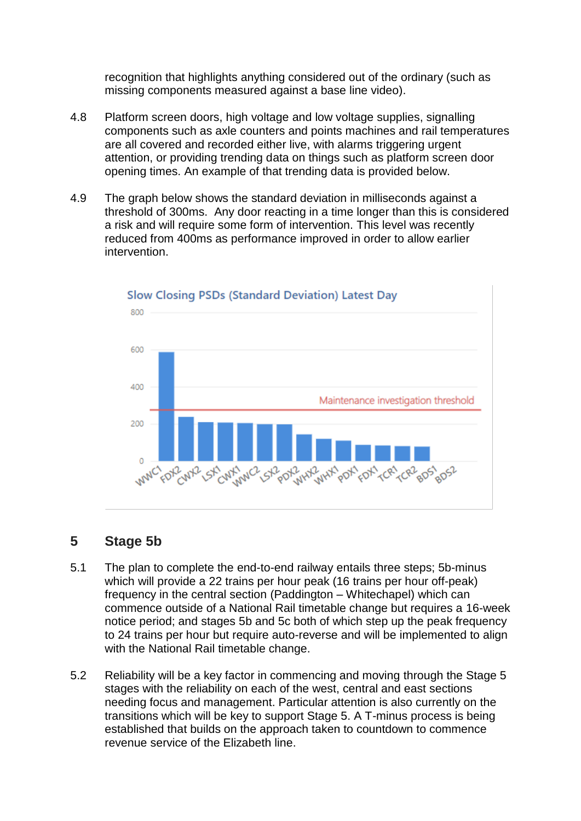recognition that highlights anything considered out of the ordinary (such as missing components measured against a base line video).

- 4.8 Platform screen doors, high voltage and low voltage supplies, signalling components such as axle counters and points machines and rail temperatures are all covered and recorded either live, with alarms triggering urgent attention, or providing trending data on things such as platform screen door opening times. An example of that trending data is provided below.
- 4.9 The graph below shows the standard deviation in milliseconds against a threshold of 300ms. Any door reacting in a time longer than this is considered a risk and will require some form of intervention. This level was recently reduced from 400ms as performance improved in order to allow earlier intervention.



#### **Slow Closing PSDs (Standard Deviation) Latest Day**

#### **5 Stage 5b**

- 5.1 The plan to complete the end-to-end railway entails three steps; 5b-minus which will provide a 22 trains per hour peak (16 trains per hour off-peak) frequency in the central section (Paddington – Whitechapel) which can commence outside of a National Rail timetable change but requires a 16-week notice period; and stages 5b and 5c both of which step up the peak frequency to 24 trains per hour but require auto-reverse and will be implemented to align with the National Rail timetable change.
- 5.2 Reliability will be a key factor in commencing and moving through the Stage 5 stages with the reliability on each of the west, central and east sections needing focus and management. Particular attention is also currently on the transitions which will be key to support Stage 5. A T-minus process is being established that builds on the approach taken to countdown to commence revenue service of the Elizabeth line.